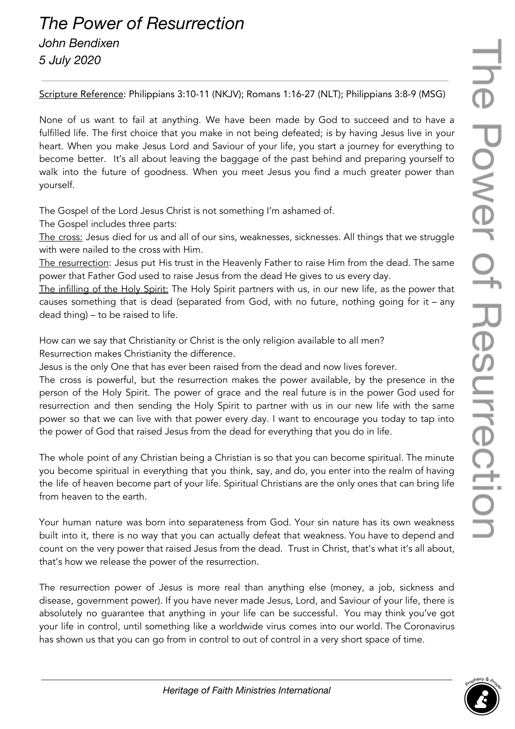## he Power of Resurrection

## *The Power of Resurrection*

*John Bendixen*

*5 July 2020*

Scripture Reference: Philippians 3:10-11 (NKJV); Romans 1:16-27 (NLT); Philippians 3:8-9 (MSG)

None of us want to fail at anything. We have been made by God to succeed and to have a fulfilled life. The first choice that you make in not being defeated; is by having Jesus live in your heart. When you make Jesus Lord and Saviour of your life, you start a journey for everything to become better. It's all about leaving the baggage of the past behind and preparing yourself to walk into the future of goodness. When you meet Jesus you find a much greater power than yourself.

The Gospel of the Lord Jesus Christ is not something I'm ashamed of.

The Gospel includes three parts:

The cross: Jesus died for us and all of our sins, weaknesses, sicknesses. All things that we struggle with were nailed to the cross with Him.

The resurrection: Jesus put His trust in the Heavenly Father to raise Him from the dead. The same power that Father God used to raise Jesus from the dead He gives to us every day.

The infilling of the Holy Spirit: The Holy Spirit partners with us, in our new life, as the power that causes something that is dead (separated from God, with no future, nothing going for it – any dead thing) – to be raised to life.

How can we say that Christianity or Christ is the only religion available to all men? Resurrection makes Christianity the difference.

Jesus is the only One that has ever been raised from the dead and now lives forever.

The cross is powerful, but the resurrection makes the power available, by the presence in the person of the Holy Spirit. The power of grace and the real future is in the power God used for resurrection and then sending the Holy Spirit to partner with us in our new life with the same power so that we can live with that power every day. I want to encourage you today to tap into the power of God that raised Jesus from the dead for everything that you do in life.

The whole point of any Christian being a Christian is so that you can become spiritual. The minute you become spiritual in everything that you think, say, and do, you enter into the realm of having the life of heaven become part of your life. Spiritual Christians are the only ones that can bring life from heaven to the earth.

Your human nature was born into separateness from God. Your sin nature has its own weakness built into it, there is no way that you can actually defeat that weakness. You have to depend and count on the very power that raised Jesus from the dead. Trust in Christ, that's what it's all about, that's how we release the power of the resurrection.

The resurrection power of Jesus is more real than anything else (money, a job, sickness and disease, government power). If you have never made Jesus, Lord, and Saviour of your life, there is absolutely no guarantee that anything in your life can be successful. You may think you've got your life in control, until something like a worldwide virus comes into our world. The Coronavirus has shown us that you can go from in control to out of control in a very short space of time.